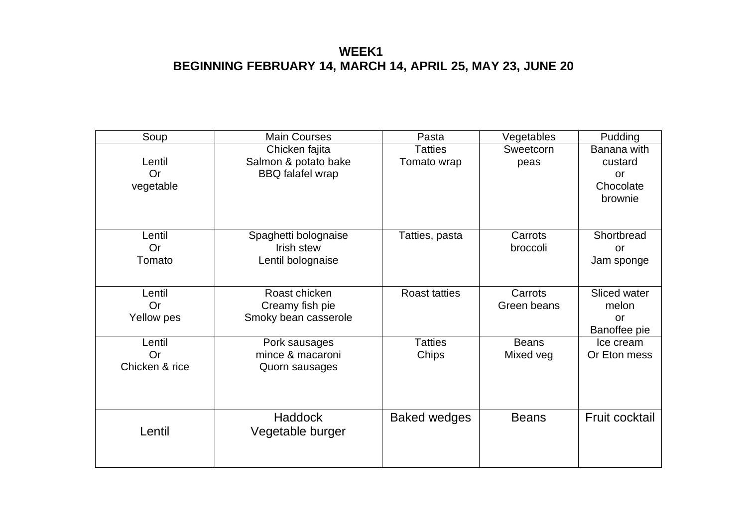### **WEEK1 BEGINNING FEBRUARY 14, MARCH 14, APRIL 25, MAY 23, JUNE 20**

| Soup                                  | <b>Main Courses</b>                                               | Pasta                         | Vegetables                | Pudding                                              |
|---------------------------------------|-------------------------------------------------------------------|-------------------------------|---------------------------|------------------------------------------------------|
| Lentil<br><b>Or</b><br>vegetable      | Chicken fajita<br>Salmon & potato bake<br><b>BBQ</b> falafel wrap | <b>Tatties</b><br>Tomato wrap | Sweetcorn<br>peas         | Banana with<br>custard<br>or<br>Chocolate<br>brownie |
| Lentil<br>Or<br>Tomato                | Spaghetti bolognaise<br>Irish stew<br>Lentil bolognaise           | Tatties, pasta                | Carrots<br>broccoli       | Shortbread<br>or<br>Jam sponge                       |
| Lentil<br>Or<br>Yellow pes            | Roast chicken<br>Creamy fish pie<br>Smoky bean casserole          | <b>Roast tatties</b>          | Carrots<br>Green beans    | Sliced water<br>melon<br>or<br>Banoffee pie          |
| Lentil<br><b>Or</b><br>Chicken & rice | Pork sausages<br>mince & macaroni<br>Quorn sausages               | <b>Tatties</b><br>Chips       | <b>Beans</b><br>Mixed veg | Ice cream<br>Or Eton mess                            |
| Lentil                                | <b>Haddock</b><br>Vegetable burger                                | <b>Baked wedges</b>           | <b>Beans</b>              | Fruit cocktail                                       |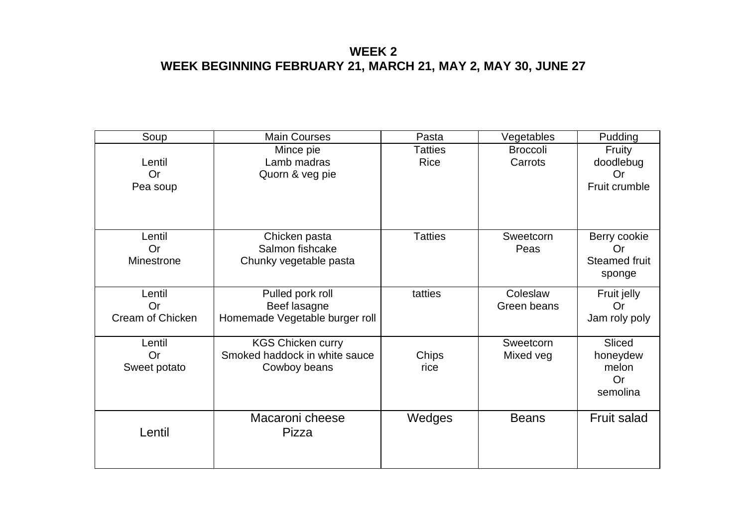### **WEEK 2 WEEK BEGINNING FEBRUARY 21, MARCH 21, MAY 2, MAY 30, JUNE 27**

| Soup                                    | <b>Main Courses</b>                                                       | Pasta                  | Vegetables                 | Pudding                                                     |
|-----------------------------------------|---------------------------------------------------------------------------|------------------------|----------------------------|-------------------------------------------------------------|
| Lentil<br><b>Or</b><br>Pea soup         | Mince pie<br>Lamb madras<br>Quorn & veg pie                               | Tatties<br><b>Rice</b> | <b>Broccoli</b><br>Carrots | Fruity<br>doodlebug<br><b>Or</b><br>Fruit crumble           |
| Lentil<br>Or<br>Minestrone              | Chicken pasta<br>Salmon fishcake<br>Chunky vegetable pasta                | <b>Tatties</b>         | Sweetcorn<br>Peas          | Berry cookie<br><b>Or</b><br><b>Steamed fruit</b><br>sponge |
| Lentil<br><b>Or</b><br>Cream of Chicken | Pulled pork roll<br>Beef lasagne<br>Homemade Vegetable burger roll        | tatties                | Coleslaw<br>Green beans    | Fruit jelly<br>Or<br>Jam roly poly                          |
| Lentil<br><b>Or</b><br>Sweet potato     | <b>KGS Chicken curry</b><br>Smoked haddock in white sauce<br>Cowboy beans | Chips<br>rice          | Sweetcorn<br>Mixed veg     | Sliced<br>honeydew<br>melon<br><b>Or</b><br>semolina        |
| Lentil                                  | Macaroni cheese<br>Pizza                                                  | Wedges                 | <b>Beans</b>               | <b>Fruit salad</b>                                          |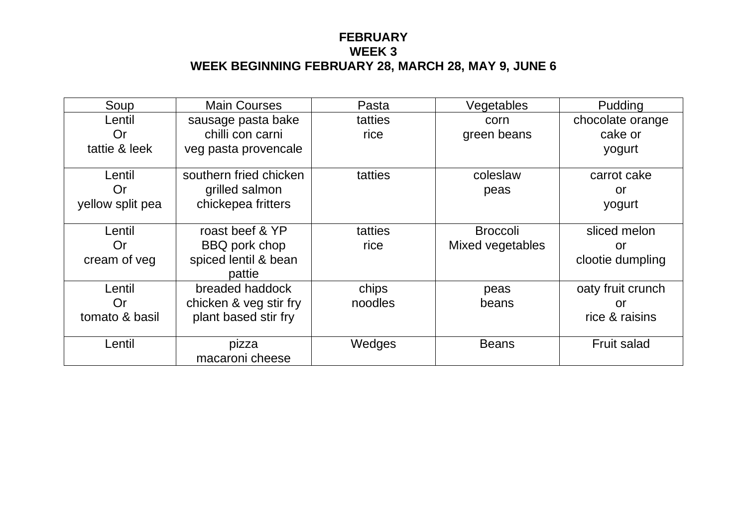#### **FEBRUARY WEEK 3 WEEK BEGINNING FEBRUARY 28, MARCH 28, MAY 9, JUNE 6**

| Soup             | <b>Main Courses</b>    | Pasta   | Vegetables       | Pudding            |
|------------------|------------------------|---------|------------------|--------------------|
| Lentil           | sausage pasta bake     | tatties | corn             | chocolate orange   |
| Or               | chilli con carni       | rice    | green beans      | cake or            |
| tattie & leek    | veg pasta provencale   |         |                  | yogurt             |
|                  |                        |         |                  |                    |
| Lentil           | southern fried chicken | tatties | coleslaw         | carrot cake        |
| Or               | grilled salmon         |         | peas             | <u>or</u>          |
| yellow split pea | chickepea fritters     |         |                  | yogurt             |
|                  |                        |         |                  |                    |
| Lentil           | roast beef & YP        | tatties | <b>Broccoli</b>  | sliced melon       |
| Or               | BBQ pork chop          | rice    | Mixed vegetables | or                 |
| cream of veg     | spiced lentil & bean   |         |                  | clootie dumpling   |
|                  | pattie                 |         |                  |                    |
| Lentil           | breaded haddock        | chips   | peas             | oaty fruit crunch  |
| Or               | chicken & veg stir fry | noodles | beans            | or                 |
| tomato & basil   | plant based stir fry   |         |                  | rice & raisins     |
|                  |                        |         |                  |                    |
| Lentil           | pizza                  | Wedges  | <b>Beans</b>     | <b>Fruit salad</b> |
|                  | macaroni cheese        |         |                  |                    |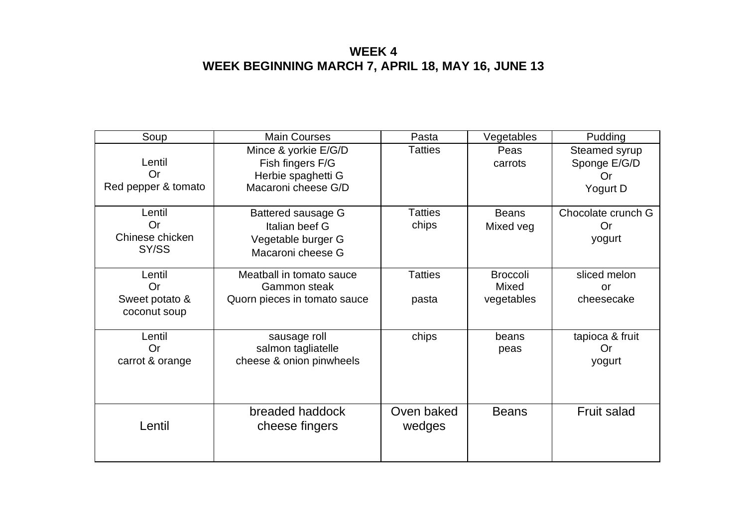## **WEEK 4 WEEK BEGINNING MARCH 7, APRIL 18, MAY 16, JUNE 13**

| Soup                                                  | <b>Main Courses</b>                                                                   | Pasta                   | Vegetables                             | Pudding                                         |
|-------------------------------------------------------|---------------------------------------------------------------------------------------|-------------------------|----------------------------------------|-------------------------------------------------|
| Lentil<br><b>Or</b><br>Red pepper & tomato            | Mince & yorkie E/G/D<br>Fish fingers F/G<br>Herbie spaghetti G<br>Macaroni cheese G/D | <b>Tatties</b>          | Peas<br>carrots                        | Steamed syrup<br>Sponge E/G/D<br>Or<br>Yogurt D |
| Lentil<br>Or<br>Chinese chicken<br>SY/SS              | Battered sausage G<br>Italian beef G<br>Vegetable burger G<br>Macaroni cheese G       | <b>Tatties</b><br>chips | <b>Beans</b><br>Mixed veg              | Chocolate crunch G<br><b>Or</b><br>yogurt       |
| Lentil<br><b>Or</b><br>Sweet potato &<br>coconut soup | Meatball in tomato sauce<br><b>Gammon steak</b><br>Quorn pieces in tomato sauce       | <b>Tatties</b><br>pasta | <b>Broccoli</b><br>Mixed<br>vegetables | sliced melon<br>or<br>cheesecake                |
| Lentil<br>Or<br>carrot & orange                       | sausage roll<br>salmon tagliatelle<br>cheese & onion pinwheels                        | chips                   | beans<br>peas                          | tapioca & fruit<br>Or<br>yogurt                 |
| Lentil                                                | breaded haddock<br>cheese fingers                                                     | Oven baked<br>wedges    | <b>Beans</b>                           | <b>Fruit salad</b>                              |